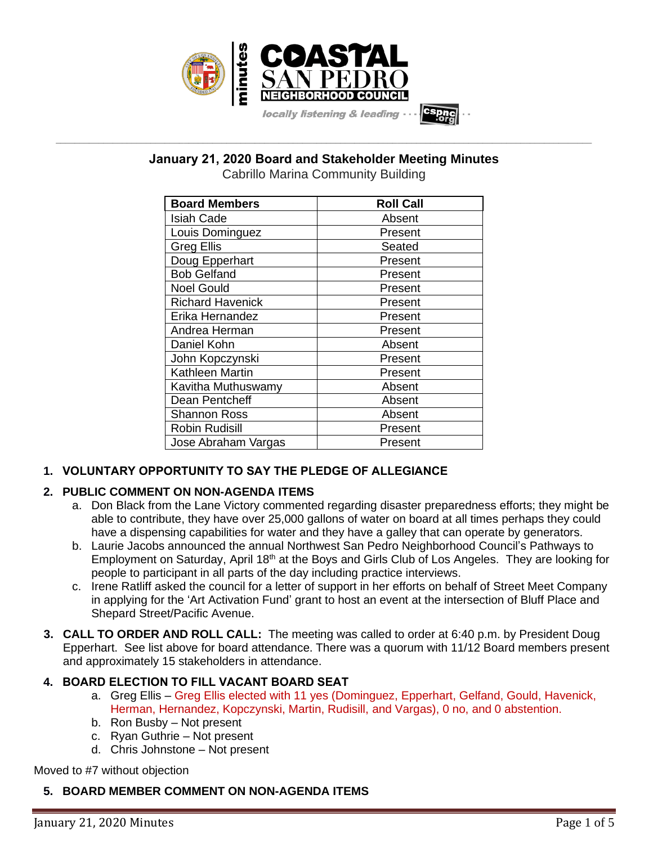

**January 21, 2020 Board and Stakeholder Meeting Minutes**

**\_\_\_\_\_\_\_\_\_\_\_\_\_\_\_\_\_\_\_\_\_\_\_\_\_\_\_\_\_\_\_\_\_\_\_\_\_\_\_\_\_\_\_\_\_\_\_\_\_\_\_\_\_\_\_\_\_\_\_\_\_\_\_\_\_\_\_\_\_\_\_\_\_\_\_\_\_\_\_\_\_\_\_\_\_\_\_\_\_\_\_\_\_\_\_\_\_\_\_\_\_\_\_\_\_\_\_\_\_\_\_\_\_**

Cabrillo Marina Community Building

| <b>Board Members</b>    | <b>Roll Call</b> |
|-------------------------|------------------|
| <b>Isiah Cade</b>       | Absent           |
| Louis Dominguez         | Present          |
| <b>Greg Ellis</b>       | Seated           |
| Doug Epperhart          | Present          |
| <b>Bob Gelfand</b>      | Present          |
| <b>Noel Gould</b>       | Present          |
| <b>Richard Havenick</b> | Present          |
| Erika Hernandez         | Present          |
| Andrea Herman           | Present          |
| Daniel Kohn             | Absent           |
| John Kopczynski         | Present          |
| <b>Kathleen Martin</b>  | Present          |
| Kavitha Muthuswamy      | Absent           |
| Dean Pentcheff          | Absent           |
| <b>Shannon Ross</b>     | Absent           |
| <b>Robin Rudisill</b>   | Present          |
| Jose Abraham Vargas     | Present          |

# **1. VOLUNTARY OPPORTUNITY TO SAY THE PLEDGE OF ALLEGIANCE**

# **2. PUBLIC COMMENT ON NON-AGENDA ITEMS**

- a. Don Black from the Lane Victory commented regarding disaster preparedness efforts; they might be able to contribute, they have over 25,000 gallons of water on board at all times perhaps they could have a dispensing capabilities for water and they have a galley that can operate by generators.
- b. Laurie Jacobs announced the annual Northwest San Pedro Neighborhood Council's Pathways to Employment on Saturday, April 18<sup>th</sup> at the Boys and Girls Club of Los Angeles. They are looking for people to participant in all parts of the day including practice interviews.
- c. Irene Ratliff asked the council for a letter of support in her efforts on behalf of Street Meet Company in applying for the 'Art Activation Fund' grant to host an event at the intersection of Bluff Place and Shepard Street/Pacific Avenue.
- **3. CALL TO ORDER AND ROLL CALL:** The meeting was called to order at 6:40 p.m. by President Doug Epperhart. See list above for board attendance. There was a quorum with 11/12 Board members present and approximately 15 stakeholders in attendance.

# **4. BOARD ELECTION TO FILL VACANT BOARD SEAT**

- a. Greg Ellis Greg Ellis elected with 11 yes (Dominguez, Epperhart, Gelfand, Gould, Havenick, Herman, Hernandez, Kopczynski, Martin, Rudisill, and Vargas), 0 no, and 0 abstention.
- b. Ron Busby Not present
- c. Ryan Guthrie Not present
- d. Chris Johnstone Not present

Moved to #7 without objection

# **5. BOARD MEMBER COMMENT ON NON-AGENDA ITEMS**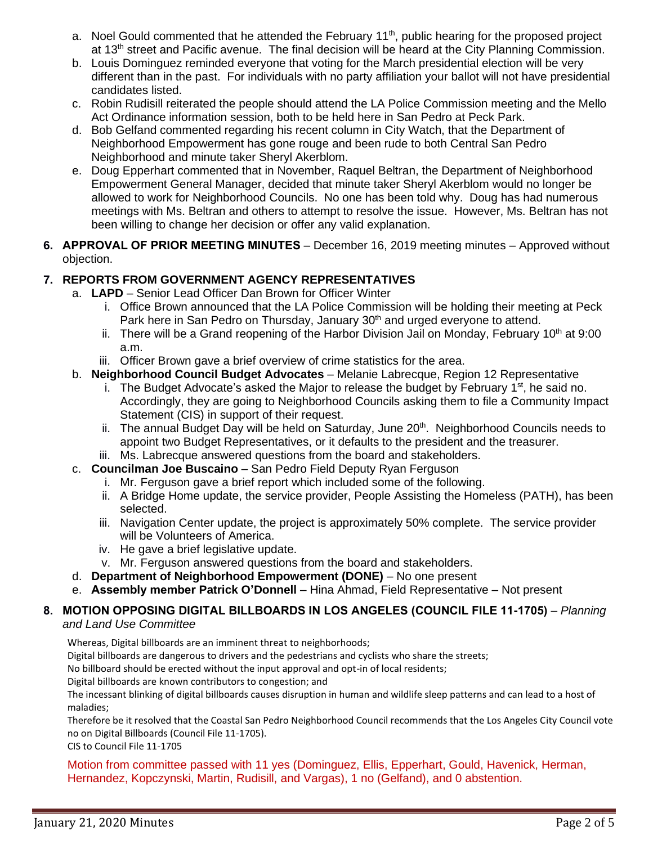- a. Noel Gould commented that he attended the February  $11<sup>th</sup>$ , public hearing for the proposed project at 13<sup>th</sup> street and Pacific avenue. The final decision will be heard at the City Planning Commission.
- b. Louis Dominguez reminded everyone that voting for the March presidential election will be very different than in the past. For individuals with no party affiliation your ballot will not have presidential candidates listed.
- c. Robin Rudisill reiterated the people should attend the LA Police Commission meeting and the Mello Act Ordinance information session, both to be held here in San Pedro at Peck Park.
- d. Bob Gelfand commented regarding his recent column in City Watch, that the Department of Neighborhood Empowerment has gone rouge and been rude to both Central San Pedro Neighborhood and minute taker Sheryl Akerblom.
- e. Doug Epperhart commented that in November, Raquel Beltran, the Department of Neighborhood Empowerment General Manager, decided that minute taker Sheryl Akerblom would no longer be allowed to work for Neighborhood Councils. No one has been told why. Doug has had numerous meetings with Ms. Beltran and others to attempt to resolve the issue. However, Ms. Beltran has not been willing to change her decision or offer any valid explanation.
- **6. APPROVAL OF PRIOR MEETING MINUTES** December 16, 2019 meeting minutes Approved without objection.

# **7. REPORTS FROM GOVERNMENT AGENCY REPRESENTATIVES**

- a. **LAPD** Senior Lead Officer Dan Brown for Officer Winter
	- i. Office Brown announced that the LA Police Commission will be holding their meeting at Peck Park here in San Pedro on Thursday, January 30<sup>th</sup> and urged everyone to attend.
	- ii. There will be a Grand reopening of the Harbor Division Jail on Monday, February 10<sup>th</sup> at 9:00 a.m.
	- iii. Officer Brown gave a brief overview of crime statistics for the area.
- b. **Neighborhood Council Budget Advocates** Melanie Labrecque, Region 12 Representative
	- i. The Budget Advocate's asked the Major to release the budget by February  $1<sup>st</sup>$ , he said no. Accordingly, they are going to Neighborhood Councils asking them to file a Community Impact Statement (CIS) in support of their request.
	- ii. The annual Budget Day will be held on Saturday, June 20<sup>th</sup>. Neighborhood Councils needs to appoint two Budget Representatives, or it defaults to the president and the treasurer.
	- iii. Ms. Labrecque answered questions from the board and stakeholders.
- c. **Councilman Joe Buscaino** San Pedro Field Deputy Ryan Ferguson
	- i. Mr. Ferguson gave a brief report which included some of the following.
	- ii. A Bridge Home update, the service provider, People Assisting the Homeless (PATH), has been selected.
	- iii. Navigation Center update, the project is approximately 50% complete. The service provider will be Volunteers of America.
	- iv. He gave a brief legislative update.
	- v. Mr. Ferguson answered questions from the board and stakeholders.
- d. **Department of Neighborhood Empowerment (DONE)** No one present
- e. **Assembly member Patrick O'Donnell** Hina Ahmad, Field Representative Not present

#### **8. MOTION OPPOSING DIGITAL BILLBOARDS IN LOS ANGELES (COUNCIL FILE 11-1705)** – *Planning and Land Use Committee*

Whereas, Digital billboards are an imminent threat to neighborhoods;

Digital billboards are dangerous to drivers and the pedestrians and cyclists who share the streets;

No billboard should be erected without the input approval and opt-in of local residents;

Digital billboards are known contributors to congestion; and

The incessant blinking of digital billboards causes disruption in human and wildlife sleep patterns and can lead to a host of maladies;

Therefore be it resolved that the Coastal San Pedro Neighborhood Council recommends that the Los Angeles City Council vote no on Digital Billboards (Council File 11-1705).

CIS to Council File 11-1705

Motion from committee passed with 11 yes (Dominguez, Ellis, Epperhart, Gould, Havenick, Herman, Hernandez, Kopczynski, Martin, Rudisill, and Vargas), 1 no (Gelfand), and 0 abstention.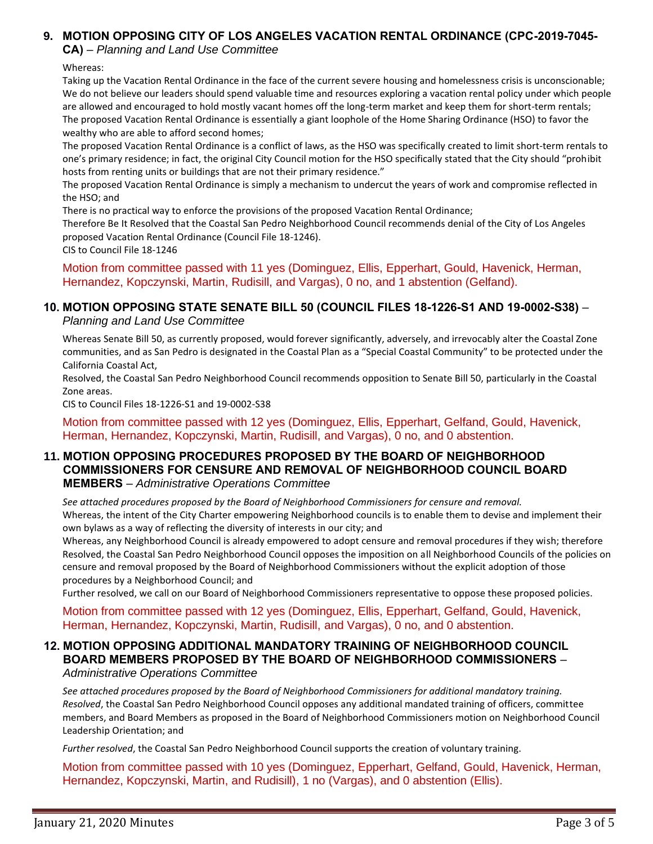# **9. MOTION OPPOSING CITY OF LOS ANGELES VACATION RENTAL ORDINANCE (CPC-2019-7045-**

**CA)** – *Planning and Land Use Committee*

#### Whereas:

Taking up the Vacation Rental Ordinance in the face of the current severe housing and homelessness crisis is unconscionable; We do not believe our leaders should spend valuable time and resources exploring a vacation rental policy under which people are allowed and encouraged to hold mostly vacant homes off the long-term market and keep them for short-term rentals; The proposed Vacation Rental Ordinance is essentially a giant loophole of the Home Sharing Ordinance (HSO) to favor the wealthy who are able to afford second homes;

The proposed Vacation Rental Ordinance is a conflict of laws, as the HSO was specifically created to limit short-term rentals to one's primary residence; in fact, the original City Council motion for the HSO specifically stated that the City should "prohibit hosts from renting units or buildings that are not their primary residence."

The proposed Vacation Rental Ordinance is simply a mechanism to undercut the years of work and compromise reflected in the HSO; and

There is no practical way to enforce the provisions of the proposed Vacation Rental Ordinance;

Therefore Be It Resolved that the Coastal San Pedro Neighborhood Council recommends denial of the City of Los Angeles proposed Vacation Rental Ordinance (Council File 18-1246).

CIS to Council File 18-1246

Motion from committee passed with 11 yes (Dominguez, Ellis, Epperhart, Gould, Havenick, Herman, Hernandez, Kopczynski, Martin, Rudisill, and Vargas), 0 no, and 1 abstention (Gelfand).

#### **10. MOTION OPPOSING STATE SENATE BILL 50 (COUNCIL FILES 18-1226-S1 AND 19-0002-S38)** – *Planning and Land Use Committee*

Whereas Senate Bill 50, as currently proposed, would forever significantly, adversely, and irrevocably alter the Coastal Zone communities, and as San Pedro is designated in the Coastal Plan as a "Special Coastal Community" to be protected under the California Coastal Act,

Resolved, the Coastal San Pedro Neighborhood Council recommends opposition to Senate Bill 50, particularly in the Coastal Zone areas.

CIS to Council Files 18-1226-S1 and 19-0002-S38

Motion from committee passed with 12 yes (Dominguez, Ellis, Epperhart, Gelfand, Gould, Havenick, Herman, Hernandez, Kopczynski, Martin, Rudisill, and Vargas), 0 no, and 0 abstention.

### **11. MOTION OPPOSING PROCEDURES PROPOSED BY THE BOARD OF NEIGHBORHOOD COMMISSIONERS FOR CENSURE AND REMOVAL OF NEIGHBORHOOD COUNCIL BOARD MEMBERS** – *Administrative Operations Committee*

*See attached procedures proposed by the Board of Neighborhood Commissioners for censure and removal.* Whereas, the intent of the City Charter empowering Neighborhood councils is to enable them to devise and implement their own bylaws as a way of reflecting the diversity of interests in our city; and

Whereas, any Neighborhood Council is already empowered to adopt censure and removal procedures if they wish; therefore Resolved, the Coastal San Pedro Neighborhood Council opposes the imposition on all Neighborhood Councils of the policies on censure and removal proposed by the Board of Neighborhood Commissioners without the explicit adoption of those procedures by a Neighborhood Council; and

Further resolved, we call on our Board of Neighborhood Commissioners representative to oppose these proposed policies.

Motion from committee passed with 12 yes (Dominguez, Ellis, Epperhart, Gelfand, Gould, Havenick, Herman, Hernandez, Kopczynski, Martin, Rudisill, and Vargas), 0 no, and 0 abstention.

# **12. MOTION OPPOSING ADDITIONAL MANDATORY TRAINING OF NEIGHBORHOOD COUNCIL BOARD MEMBERS PROPOSED BY THE BOARD OF NEIGHBORHOOD COMMISSIONERS** –

*Administrative Operations Committee*

*See attached procedures proposed by the Board of Neighborhood Commissioners for additional mandatory training. Resolved*, the Coastal San Pedro Neighborhood Council opposes any additional mandated training of officers, committee members, and Board Members as proposed in the Board of Neighborhood Commissioners motion on Neighborhood Council Leadership Orientation; and

*Further resolved*, the Coastal San Pedro Neighborhood Council supports the creation of voluntary training.

Motion from committee passed with 10 yes (Dominguez, Epperhart, Gelfand, Gould, Havenick, Herman, Hernandez, Kopczynski, Martin, and Rudisill), 1 no (Vargas), and 0 abstention (Ellis).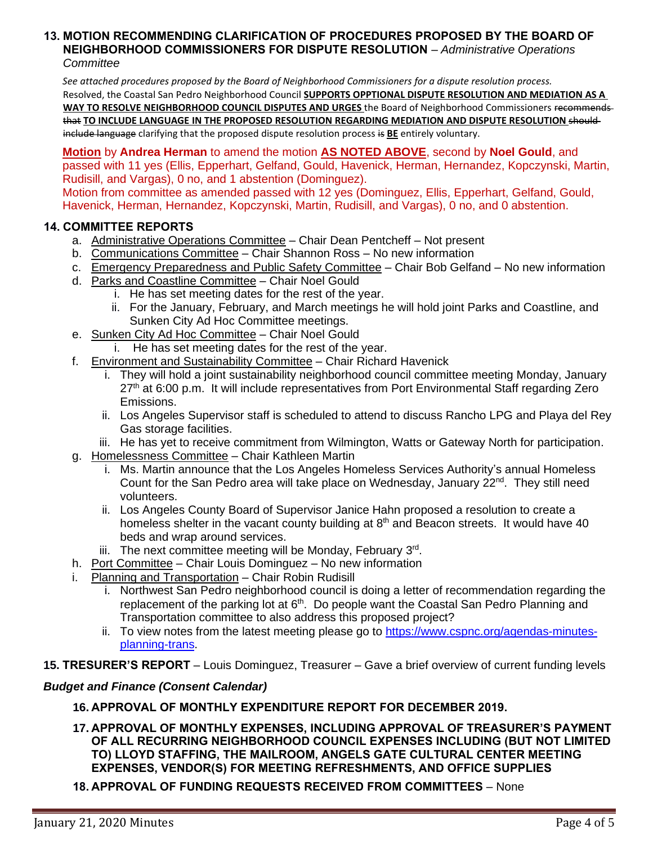#### **13. MOTION RECOMMENDING CLARIFICATION OF PROCEDURES PROPOSED BY THE BOARD OF NEIGHBORHOOD COMMISSIONERS FOR DISPUTE RESOLUTION** – *Administrative Operations Committee*

*See attached procedures proposed by the Board of Neighborhood Commissioners for a dispute resolution process.* Resolved, the Coastal San Pedro Neighborhood Council **SUPPORTS OPPTIONAL DISPUTE RESOLUTION AND MEDIATION AS A WAY TO RESOLVE NEIGHBORHOOD COUNCIL DISPUTES AND URGES** the Board of Neighborhood Commissioners recommends that **TO INCLUDE LANGUAGE IN THE PROPOSED RESOLUTION REGARDING MEDIATION AND DISPUTE RESOLUTION** should include language clarifying that the proposed dispute resolution process is **BE** entirely voluntary.

**Motion** by **Andrea Herman** to amend the motion **AS NOTED ABOVE**, second by **Noel Gould**, and passed with 11 yes (Ellis, Epperhart, Gelfand, Gould, Havenick, Herman, Hernandez, Kopczynski, Martin, Rudisill, and Vargas), 0 no, and 1 abstention (Dominguez).

Motion from committee as amended passed with 12 yes (Dominguez, Ellis, Epperhart, Gelfand, Gould, Havenick, Herman, Hernandez, Kopczynski, Martin, Rudisill, and Vargas), 0 no, and 0 abstention.

# **14. COMMITTEE REPORTS**

- a. Administrative Operations Committee Chair Dean Pentcheff Not present
- b. Communications Committee Chair Shannon Ross No new information
- c. Emergency Preparedness and Public Safety Committee Chair Bob Gelfand No new information
- d. Parks and Coastline Committee Chair Noel Gould
	- i. He has set meeting dates for the rest of the year.
		- ii. For the January, February, and March meetings he will hold joint Parks and Coastline, and Sunken City Ad Hoc Committee meetings.
- e. Sunken City Ad Hoc Committee Chair Noel Gould
	- i. He has set meeting dates for the rest of the year.
- f. Environment and Sustainability Committee Chair Richard Havenick
	- i. They will hold a joint sustainability neighborhood council committee meeting Monday, January 27<sup>th</sup> at 6:00 p.m. It will include representatives from Port Environmental Staff regarding Zero Emissions.
	- ii. Los Angeles Supervisor staff is scheduled to attend to discuss Rancho LPG and Playa del Rey Gas storage facilities.
	- iii. He has yet to receive commitment from Wilmington, Watts or Gateway North for participation.
- g. Homelessness Committee Chair Kathleen Martin
	- i. Ms. Martin announce that the Los Angeles Homeless Services Authority's annual Homeless Count for the San Pedro area will take place on Wednesday, January 22<sup>nd</sup>. They still need volunteers.
	- ii. Los Angeles County Board of Supervisor Janice Hahn proposed a resolution to create a homeless shelter in the vacant county building at 8<sup>th</sup> and Beacon streets. It would have 40 beds and wrap around services.
	- iii. The next committee meeting will be Monday, February 3rd.
- h. Port Committee Chair Louis Dominguez No new information
- i. Planning and Transportation Chair Robin Rudisill
	- i. Northwest San Pedro neighborhood council is doing a letter of recommendation regarding the replacement of the parking lot at  $6<sup>th</sup>$ . Do people want the Coastal San Pedro Planning and Transportation committee to also address this proposed project?
	- ii. To view notes from the latest meeting please go to [https://www.cspnc.org/agendas-minutes](https://www.cspnc.org/agendas-minutes-planning-trans)[planning-trans.](https://www.cspnc.org/agendas-minutes-planning-trans)
- **15. TRESURER'S REPORT** Louis Dominguez, Treasurer Gave a brief overview of current funding levels

### *Budget and Finance (Consent Calendar)*

- **16. APPROVAL OF MONTHLY EXPENDITURE REPORT FOR DECEMBER 2019.**
- **17. APPROVAL OF MONTHLY EXPENSES, INCLUDING APPROVAL OF TREASURER'S PAYMENT OF ALL RECURRING NEIGHBORHOOD COUNCIL EXPENSES INCLUDING (BUT NOT LIMITED TO) LLOYD STAFFING, THE MAILROOM, ANGELS GATE CULTURAL CENTER MEETING EXPENSES, VENDOR(S) FOR MEETING REFRESHMENTS, AND OFFICE SUPPLIES**
- **18. APPROVAL OF FUNDING REQUESTS RECEIVED FROM COMMITTEES** None